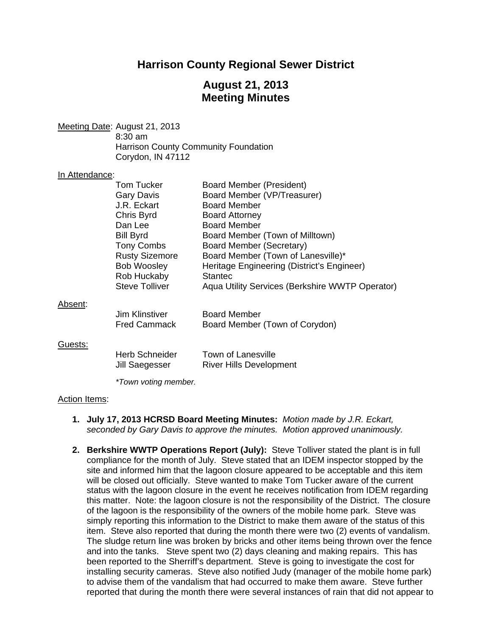# **Harrison County Regional Sewer District**

# **August 21, 2013 Meeting Minutes**

Meeting Date: August 21, 2013 8:30 am Harrison County Community Foundation Corydon, IN 47112

#### In Attendance:

|                 | Tom Tucker            | Board Member (President)                        |
|-----------------|-----------------------|-------------------------------------------------|
|                 | Gary Davis            | Board Member (VP/Treasurer)                     |
|                 | J.R. Eckart           | <b>Board Member</b>                             |
|                 | Chris Byrd            | <b>Board Attorney</b>                           |
|                 | Dan Lee               | <b>Board Member</b>                             |
|                 | <b>Bill Byrd</b>      | Board Member (Town of Milltown)                 |
|                 | Tony Combs            | Board Member (Secretary)                        |
|                 | <b>Rusty Sizemore</b> | Board Member (Town of Lanesville)*              |
|                 | <b>Bob Woosley</b>    | Heritage Engineering (District's Engineer)      |
|                 | Rob Huckaby           | <b>Stantec</b>                                  |
|                 | <b>Steve Tolliver</b> | Aqua Utility Services (Berkshire WWTP Operator) |
| <u> Absent:</u> |                       |                                                 |
|                 | Jim Klinstiver        | <b>Board Member</b>                             |
|                 | <b>Fred Cammack</b>   | Board Member (Town of Corydon)                  |
| Guests:         |                       |                                                 |
|                 | Herb Schneider        | Town of Lanesville                              |
|                 | Jill Saegesser        | <b>River Hills Development</b>                  |
|                 | *Town voting member.  |                                                 |

#### Action Items:

- **1. July 17, 2013 HCRSD Board Meeting Minutes:** *Motion made by J.R. Eckart, seconded by Gary Davis to approve the minutes. Motion approved unanimously.*
- **2. Berkshire WWTP Operations Report (July):** Steve Tolliver stated the plant is in full compliance for the month of July. Steve stated that an IDEM inspector stopped by the site and informed him that the lagoon closure appeared to be acceptable and this item will be closed out officially. Steve wanted to make Tom Tucker aware of the current status with the lagoon closure in the event he receives notification from IDEM regarding this matter. Note: the lagoon closure is not the responsibility of the District. The closure of the lagoon is the responsibility of the owners of the mobile home park. Steve was simply reporting this information to the District to make them aware of the status of this item. Steve also reported that during the month there were two (2) events of vandalism. The sludge return line was broken by bricks and other items being thrown over the fence and into the tanks. Steve spent two (2) days cleaning and making repairs. This has been reported to the Sherriff's department. Steve is going to investigate the cost for installing security cameras. Steve also notified Judy (manager of the mobile home park) to advise them of the vandalism that had occurred to make them aware. Steve further reported that during the month there were several instances of rain that did not appear to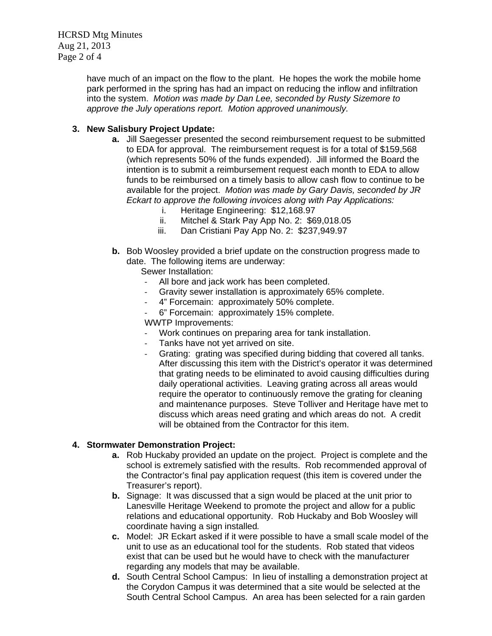HCRSD Mtg Minutes Aug 21, 2013 Page 2 of 4

> have much of an impact on the flow to the plant. He hopes the work the mobile home park performed in the spring has had an impact on reducing the inflow and infiltration into the system. *Motion was made by Dan Lee, seconded by Rusty Sizemore to approve the July operations report. Motion approved unanimously.*

### **3. New Salisbury Project Update:**

- **a.** Jill Saegesser presented the second reimbursement request to be submitted to EDA for approval. The reimbursement request is for a total of \$159,568 (which represents 50% of the funds expended). Jill informed the Board the intention is to submit a reimbursement request each month to EDA to allow funds to be reimbursed on a timely basis to allow cash flow to continue to be available for the project. *Motion was made by Gary Davis, seconded by JR Eckart to approve the following invoices along with Pay Applications:* 
	- i. Heritage Engineering: \$12,168.97
	- ii. Mitchel & Stark Pay App No. 2: \$69,018.05
	- iii. Dan Cristiani Pay App No. 2: \$237,949.97
- **b.** Bob Woosley provided a brief update on the construction progress made to date. The following items are underway:

Sewer Installation:

- All bore and jack work has been completed.<br>- Gravity sewer installation is approximately 6
- ‐ Gravity sewer installation is approximately 65% complete.
- ‐ 4" Forcemain: approximately 50% complete.
- ‐ 6" Forcemain: approximately 15% complete.

WWTP Improvements:

- ‐ Work continues on preparing area for tank installation.
- ‐ Tanks have not yet arrived on site.
- ‐ Grating: grating was specified during bidding that covered all tanks. After discussing this item with the District's operator it was determined that grating needs to be eliminated to avoid causing difficulties during daily operational activities. Leaving grating across all areas would require the operator to continuously remove the grating for cleaning and maintenance purposes. Steve Tolliver and Heritage have met to discuss which areas need grating and which areas do not. A credit will be obtained from the Contractor for this item.

#### **4. Stormwater Demonstration Project:**

- **a.** Rob Huckaby provided an update on the project. Project is complete and the school is extremely satisfied with the results. Rob recommended approval of the Contractor's final pay application request (this item is covered under the Treasurer's report).
- **b.** Signage: It was discussed that a sign would be placed at the unit prior to Lanesville Heritage Weekend to promote the project and allow for a public relations and educational opportunity. Rob Huckaby and Bob Woosley will coordinate having a sign installed*.*
- **c.** Model: JR Eckart asked if it were possible to have a small scale model of the unit to use as an educational tool for the students. Rob stated that videos exist that can be used but he would have to check with the manufacturer regarding any models that may be available.
- **d.** South Central School Campus: In lieu of installing a demonstration project at the Corydon Campus it was determined that a site would be selected at the South Central School Campus. An area has been selected for a rain garden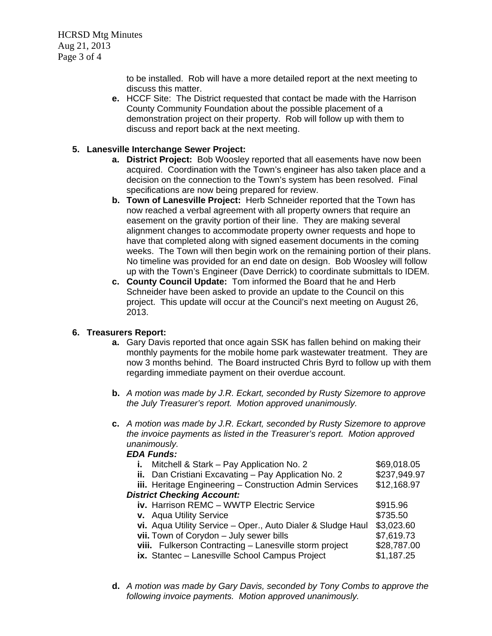HCRSD Mtg Minutes Aug 21, 2013 Page 3 of 4

> to be installed. Rob will have a more detailed report at the next meeting to discuss this matter.

**e.** HCCF Site: The District requested that contact be made with the Harrison County Community Foundation about the possible placement of a demonstration project on their property. Rob will follow up with them to discuss and report back at the next meeting.

#### **5. Lanesville Interchange Sewer Project:**

- **a. District Project:** Bob Woosley reported that all easements have now been acquired. Coordination with the Town's engineer has also taken place and a decision on the connection to the Town's system has been resolved. Final specifications are now being prepared for review.
- **b. Town of Lanesville Project:** Herb Schneider reported that the Town has now reached a verbal agreement with all property owners that require an easement on the gravity portion of their line. They are making several alignment changes to accommodate property owner requests and hope to have that completed along with signed easement documents in the coming weeks. The Town will then begin work on the remaining portion of their plans. No timeline was provided for an end date on design. Bob Woosley will follow up with the Town's Engineer (Dave Derrick) to coordinate submittals to IDEM.
- **c. County Council Update:** Tom informed the Board that he and Herb Schneider have been asked to provide an update to the Council on this project. This update will occur at the Council's next meeting on August 26, 2013.

#### **6. Treasurers Report:**

- **a.** Gary Davis reported that once again SSK has fallen behind on making their monthly payments for the mobile home park wastewater treatment. They are now 3 months behind. The Board instructed Chris Byrd to follow up with them regarding immediate payment on their overdue account.
- **b.** *A motion was made by J.R. Eckart, seconded by Rusty Sizemore to approve the July Treasurer's report. Motion approved unanimously.*
- **c.** *A motion was made by J.R. Eckart, seconded by Rusty Sizemore to approve the invoice payments as listed in the Treasurer's report. Motion approved unanimously.*

#### *EDA Funds:*

| i. Mitchell & Stark - Pay Application No. 2                 | \$69,018.05  |  |  |
|-------------------------------------------------------------|--------------|--|--|
| ii. Dan Cristiani Excavating - Pay Application No. 2        | \$237,949.97 |  |  |
| iii. Heritage Engineering - Construction Admin Services     | \$12,168.97  |  |  |
| <b>District Checking Account:</b>                           |              |  |  |
| iv. Harrison REMC - WWTP Electric Service                   | \$915.96     |  |  |
| v. Aqua Utility Service                                     | \$735.50     |  |  |
| vi. Aqua Utility Service - Oper., Auto Dialer & Sludge Haul | \$3,023.60   |  |  |
| vii. Town of Corydon - July sewer bills                     | \$7,619.73   |  |  |
| viii. Fulkerson Contracting - Lanesville storm project      | \$28,787.00  |  |  |
| ix. Stantec - Lanesville School Campus Project              | \$1,187.25   |  |  |
|                                                             |              |  |  |

**d.** *A motion was made by Gary Davis, seconded by Tony Combs to approve the following invoice payments. Motion approved unanimously.*